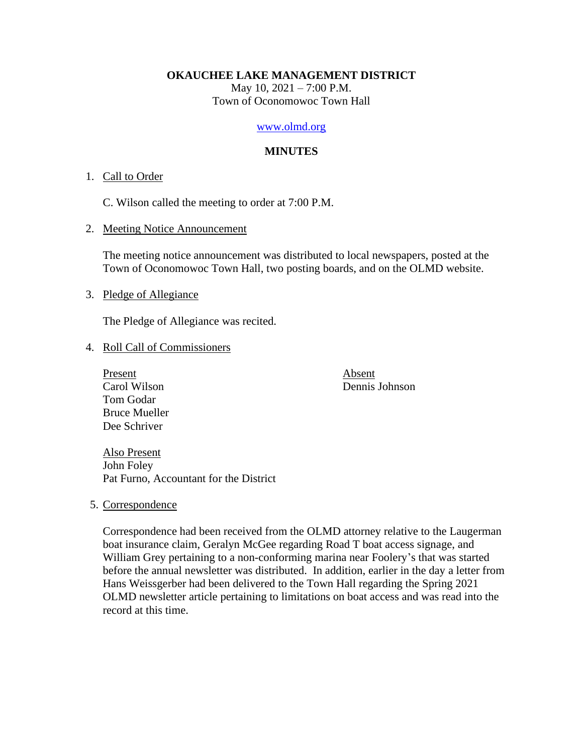#### **OKAUCHEE LAKE MANAGEMENT DISTRICT**

May 10, 2021 – 7:00 P.M. Town of Oconomowoc Town Hall

#### [www.olmd.org](http://www.olmd.org/)

#### **MINUTES**

#### 1. Call to Order

C. Wilson called the meeting to order at 7:00 P.M.

2. Meeting Notice Announcement

The meeting notice announcement was distributed to local newspapers, posted at the Town of Oconomowoc Town Hall, two posting boards, and on the OLMD website.

#### 3. Pledge of Allegiance

The Pledge of Allegiance was recited.

- 4. Roll Call of Commissioners
	- Present Absent Carol Wilson Dennis Johnson Tom Godar Bruce Mueller Dee Schriver

Also Present John Foley Pat Furno, Accountant for the District

5. Correspondence

Correspondence had been received from the OLMD attorney relative to the Laugerman boat insurance claim, Geralyn McGee regarding Road T boat access signage, and William Grey pertaining to a non-conforming marina near Foolery's that was started before the annual newsletter was distributed. In addition, earlier in the day a letter from Hans Weissgerber had been delivered to the Town Hall regarding the Spring 2021 OLMD newsletter article pertaining to limitations on boat access and was read into the record at this time.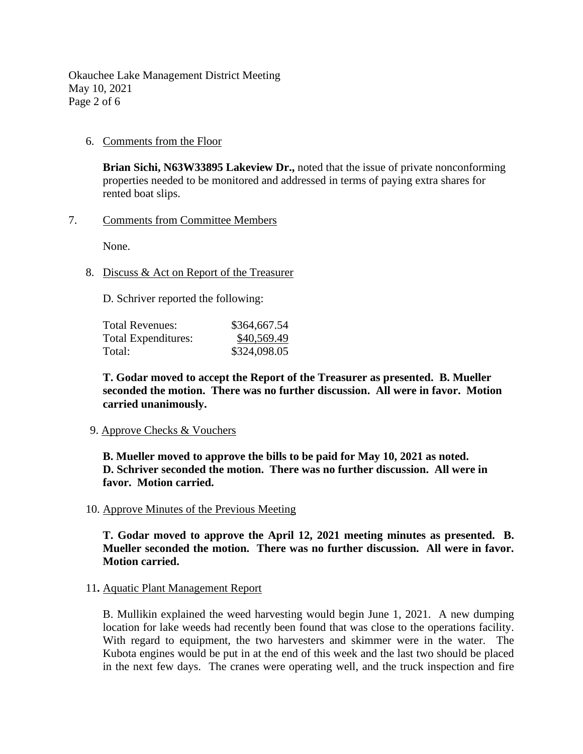Okauchee Lake Management District Meeting May 10, 2021 Page 2 of 6

# 6. Comments from the Floor

**Brian Sichi, N63W33895 Lakeview Dr.,** noted that the issue of private nonconforming properties needed to be monitored and addressed in terms of paying extra shares for rented boat slips.

# 7. Comments from Committee Members

None.

# 8. Discuss & Act on Report of the Treasurer

D. Schriver reported the following:

| Total Revenues:     | \$364,667.54 |
|---------------------|--------------|
| Total Expenditures: | \$40,569.49  |
| Total:              | \$324,098.05 |

**T. Godar moved to accept the Report of the Treasurer as presented. B. Mueller seconded the motion. There was no further discussion. All were in favor. Motion carried unanimously.**

## 9. Approve Checks & Vouchers

**B. Mueller moved to approve the bills to be paid for May 10, 2021 as noted. D. Schriver seconded the motion. There was no further discussion. All were in favor. Motion carried.**

## 10. Approve Minutes of the Previous Meeting

**T. Godar moved to approve the April 12, 2021 meeting minutes as presented. B. Mueller seconded the motion. There was no further discussion. All were in favor. Motion carried.**

## 11**.** Aquatic Plant Management Report

B. Mullikin explained the weed harvesting would begin June 1, 2021. A new dumping location for lake weeds had recently been found that was close to the operations facility. With regard to equipment, the two harvesters and skimmer were in the water. The Kubota engines would be put in at the end of this week and the last two should be placed in the next few days. The cranes were operating well, and the truck inspection and fire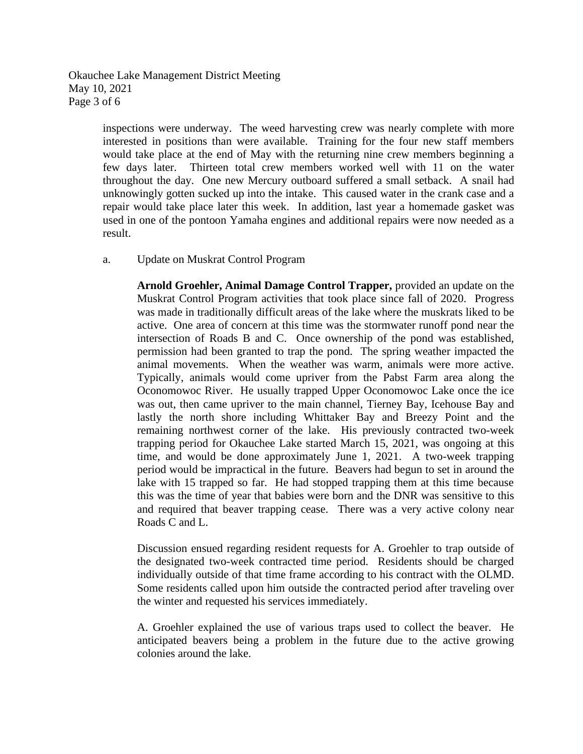Okauchee Lake Management District Meeting May 10, 2021 Page 3 of 6

> inspections were underway. The weed harvesting crew was nearly complete with more interested in positions than were available. Training for the four new staff members would take place at the end of May with the returning nine crew members beginning a few days later. Thirteen total crew members worked well with 11 on the water throughout the day. One new Mercury outboard suffered a small setback. A snail had unknowingly gotten sucked up into the intake. This caused water in the crank case and a repair would take place later this week. In addition, last year a homemade gasket was used in one of the pontoon Yamaha engines and additional repairs were now needed as a result.

a. Update on Muskrat Control Program

**Arnold Groehler, Animal Damage Control Trapper,** provided an update on the Muskrat Control Program activities that took place since fall of 2020. Progress was made in traditionally difficult areas of the lake where the muskrats liked to be active. One area of concern at this time was the stormwater runoff pond near the intersection of Roads B and C. Once ownership of the pond was established, permission had been granted to trap the pond. The spring weather impacted the animal movements. When the weather was warm, animals were more active. Typically, animals would come upriver from the Pabst Farm area along the Oconomowoc River. He usually trapped Upper Oconomowoc Lake once the ice was out, then came upriver to the main channel, Tierney Bay, Icehouse Bay and lastly the north shore including Whittaker Bay and Breezy Point and the remaining northwest corner of the lake. His previously contracted two-week trapping period for Okauchee Lake started March 15, 2021, was ongoing at this time, and would be done approximately June 1, 2021. A two-week trapping period would be impractical in the future. Beavers had begun to set in around the lake with 15 trapped so far. He had stopped trapping them at this time because this was the time of year that babies were born and the DNR was sensitive to this and required that beaver trapping cease. There was a very active colony near Roads C and L.

Discussion ensued regarding resident requests for A. Groehler to trap outside of the designated two-week contracted time period. Residents should be charged individually outside of that time frame according to his contract with the OLMD. Some residents called upon him outside the contracted period after traveling over the winter and requested his services immediately.

A. Groehler explained the use of various traps used to collect the beaver. He anticipated beavers being a problem in the future due to the active growing colonies around the lake.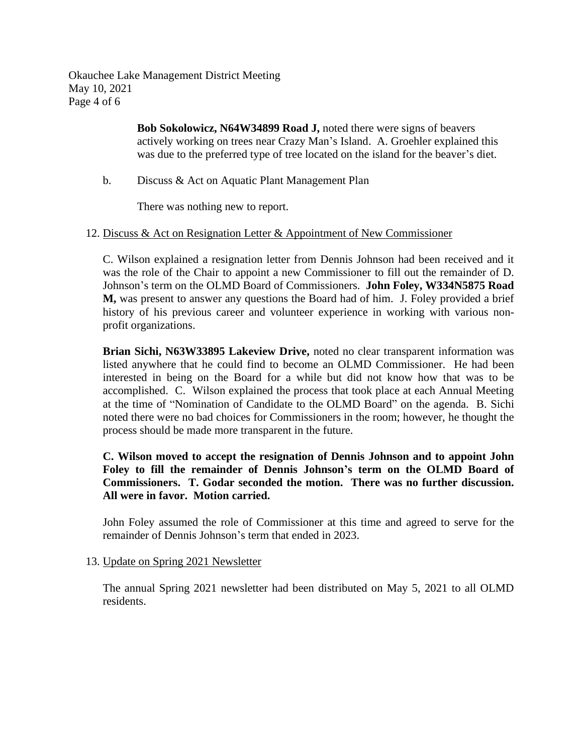Okauchee Lake Management District Meeting May 10, 2021 Page 4 of 6

> **Bob Sokolowicz, N64W34899 Road J,** noted there were signs of beavers actively working on trees near Crazy Man's Island. A. Groehler explained this was due to the preferred type of tree located on the island for the beaver's diet.

b. Discuss & Act on Aquatic Plant Management Plan

There was nothing new to report.

## 12. Discuss & Act on Resignation Letter & Appointment of New Commissioner

C. Wilson explained a resignation letter from Dennis Johnson had been received and it was the role of the Chair to appoint a new Commissioner to fill out the remainder of D. Johnson's term on the OLMD Board of Commissioners. **John Foley, W334N5875 Road M,** was present to answer any questions the Board had of him. J. Foley provided a brief history of his previous career and volunteer experience in working with various nonprofit organizations.

**Brian Sichi, N63W33895 Lakeview Drive,** noted no clear transparent information was listed anywhere that he could find to become an OLMD Commissioner. He had been interested in being on the Board for a while but did not know how that was to be accomplished. C. Wilson explained the process that took place at each Annual Meeting at the time of "Nomination of Candidate to the OLMD Board" on the agenda. B. Sichi noted there were no bad choices for Commissioners in the room; however, he thought the process should be made more transparent in the future.

**C. Wilson moved to accept the resignation of Dennis Johnson and to appoint John Foley to fill the remainder of Dennis Johnson's term on the OLMD Board of Commissioners. T. Godar seconded the motion. There was no further discussion. All were in favor. Motion carried.**

John Foley assumed the role of Commissioner at this time and agreed to serve for the remainder of Dennis Johnson's term that ended in 2023.

## 13. Update on Spring 2021 Newsletter

The annual Spring 2021 newsletter had been distributed on May 5, 2021 to all OLMD residents.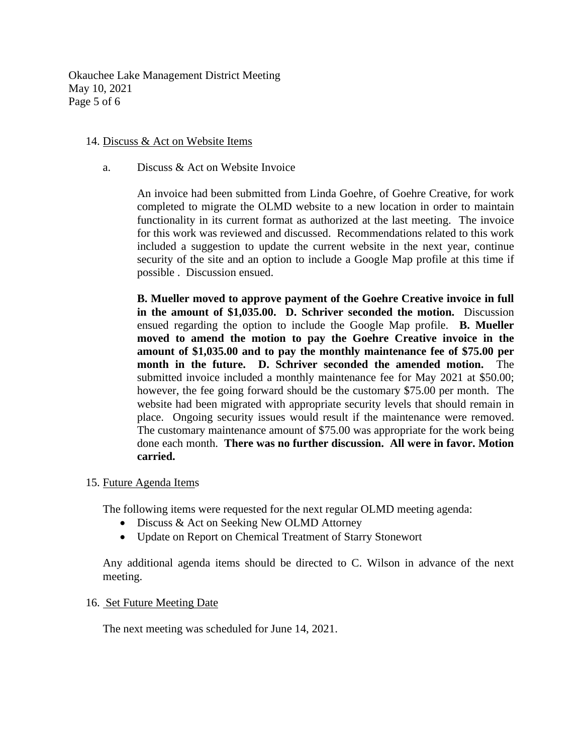Okauchee Lake Management District Meeting May 10, 2021 Page 5 of 6

## 14. Discuss & Act on Website Items

a. Discuss & Act on Website Invoice

An invoice had been submitted from Linda Goehre, of Goehre Creative, for work completed to migrate the OLMD website to a new location in order to maintain functionality in its current format as authorized at the last meeting. The invoice for this work was reviewed and discussed. Recommendations related to this work included a suggestion to update the current website in the next year, continue security of the site and an option to include a Google Map profile at this time if possible . Discussion ensued.

**B. Mueller moved to approve payment of the Goehre Creative invoice in full in the amount of \$1,035.00. D. Schriver seconded the motion.** Discussion ensued regarding the option to include the Google Map profile. **B. Mueller moved to amend the motion to pay the Goehre Creative invoice in the amount of \$1,035.00 and to pay the monthly maintenance fee of \$75.00 per month in the future. D. Schriver seconded the amended motion.** The submitted invoice included a monthly maintenance fee for May 2021 at \$50.00; however, the fee going forward should be the customary \$75.00 per month. The website had been migrated with appropriate security levels that should remain in place. Ongoing security issues would result if the maintenance were removed. The customary maintenance amount of \$75.00 was appropriate for the work being done each month. **There was no further discussion. All were in favor. Motion carried.**

## 15. Future Agenda Items

The following items were requested for the next regular OLMD meeting agenda:

- Discuss & Act on Seeking New OLMD Attorney
- Update on Report on Chemical Treatment of Starry Stonewort

Any additional agenda items should be directed to C. Wilson in advance of the next meeting.

#### 16. Set Future Meeting Date

The next meeting was scheduled for June 14, 2021.